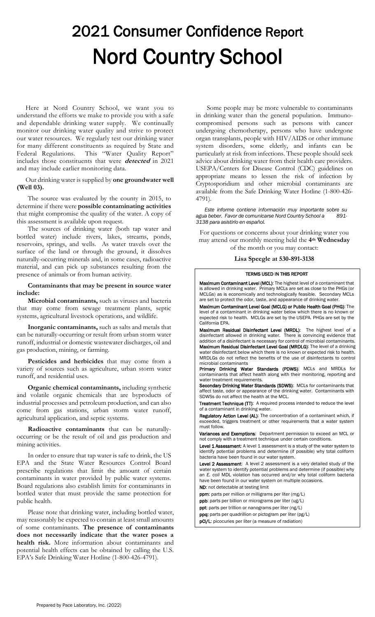# 2021 Consumer Confidence Report Nord Country School

Here at Nord Country School, we want you to understand the efforts we make to provide you with a safe and dependable drinking water supply. We continually monitor our drinking water quality and strive to protect our water resources. We regularly test our drinking water for many different constituents as required by State and Federal Regulations. This "Water Quality Report" includes those constituents that were **detected** in 2021 and may include earlier monitoring data.

Our drinking water is supplied by **one groundwater well (Well 03).**

The source was evaluated by the county in 2015, to determine if there were **possible contaminating activities** that might compromise the quality of the water. A copy of this assessment is available upon request.

The sources of drinking water (both tap water and bottled water) include rivers, lakes, streams, ponds, reservoirs, springs, and wells. As water travels over the surface of the land or through the ground, it dissolves naturally-occurring minerals and, in some cases, radioactive material, and can pick up substances resulting from the presence of animals or from human activity.

## **Contaminants that may be present in source water include:**

**Microbial contaminants,** such as viruses and bacteria that may come from sewage treatment plants, septic systems, agricultural livestock operations, and wildlife.

**Inorganic contaminants,** such as salts and metals that can be naturally-occurring or result from urban storm water runoff, industrial or domestic wastewater discharges, oil and gas production, mining, or farming.

**Pesticides and herbicides** that may come from a variety of sources such as agriculture, urban storm water runoff, and residential uses.

**Organic chemical contaminants,** including synthetic and volatile organic chemicals that are byproducts of industrial processes and petroleum production, and can also come from gas stations, urban storm water runoff, agricultural application, and septic systems.

**Radioactive contaminants** that can be naturallyoccurring or be the result of oil and gas production and mining activities.

In order to ensure that tap water is safe to drink, the US EPA and the State Water Resources Control Board prescribe regulations that limit the amount of certain contaminants in water provided by public water systems. Board regulations also establish limits for contaminants in bottled water that must provide the same protection for public health.

Please note that drinking water, including bottled water, may reasonably be expected to contain at least small amounts of some contaminants. **The presence of contaminants does not necessarily indicate that the water poses a health risk.** More information about contaminants and potential health effects can be obtained by calling the U.S. EPA's Safe Drinking Water Hotline (1-800-426-4791).

Some people may be more vulnerable to contaminants in drinking water than the general population. Immunocompromised persons such as persons with cancer undergoing chemotherapy, persons who have undergone organ transplants, people with HIV/AIDS or other immune system disorders, some elderly, and infants can be particularly at risk from infections. These people should seek advice about drinking water from their health care providers. USEPA/Centers for Disease Control (CDC) guidelines on appropriate means to lessen the risk of infection by Cryptosporidium and other microbial contaminants are available from the Safe Drinking Water Hotline (1-800-426- 4791).

*Este informe contiene información muy importante sobre su agua beber. Favor de comunicarse Nord Country School a 891- 3138 para asistirlo en español.*

For questions or concerns about your drinking water you may attend our monthly meeting held the **4th Wednesday** of the month or you may contact:

### **Lisa Speegle at 530-891-3138**

#### TERMS USED IN THIS REPORT

Maximum Contaminant Level (MCL): The highest level of a contaminant that is allowed in drinking water. Primary MCLs are set as close to the PHGs (or MCLGs) as is economically and technologically feasible. Secondary MCLs are set to protect the odor, taste, and appearance of drinking water.

Maximum Contaminant Level Goal (MCLG) or Public Health Goal (PHG): The level of a contaminant in drinking water below which there is no known or expected risk to health. MCLGs are set by the USEPA. PHGs are set by the California EPA.

Maximum Residual Disinfectant Level (MRDL): The highest level of a disinfectant allowed in drinking water. There is convincing evidence that addition of a disinfectant is necessary for control of microbial contaminants. Maximum Residual Disinfectant Level Goal (MRDLG): The level of a drinking water disinfectant below which there is no known or expected risk to health. MRDLGs do not reflect the benefits of the use of disinfectants to control microbial contaminants

Primary Drinking Water Standards (PDWS): MCLs and MRDLs for contaminants that affect health along with their monitoring, reporting and water treatment requirements.

Secondary Drinking Water Standards (SDWS): MCLs for contaminants that affect taste, odor or appearance of the drinking water. Contaminants with SDWSs do not affect the health at the MCL.

Treatment Technique (TT): A required process intended to reduce the level of a contaminant in drinking water.

Regulatory Action Level (AL): The concentration of a contaminant which, if exceeded, triggers treatment or other requirements that a water system must follow.

Variances and Exemptions: Department permission to exceed an MCL or not comply with a treatment technique under certain conditions.

Level 1 Assessment: A level 1 assessment is a study of the water system to identify potential problems and determine (if possible) why total coliform bacteria have been found in our water system.

Level 2 Assessment: A level 2 assessment is a very detailed study of the water system to identify potential problems and determine (if possible) why an *E. coli* MDL violation has occurred and/or why total coliform bacteria have been found in our water system on multiple occasions.

ND: not detectable at testing limit

ppm: parts per million or milligrams per liter (mg/L)

ppb: parts per billion or micrograms per liter (ug/L)

ppt: parts per trillion or nanograms per liter (ng/L)

ppq: parts per quadrillion or pictogram per liter (pg/L) pCi/L: picocuries per liter (a measure of radiation)